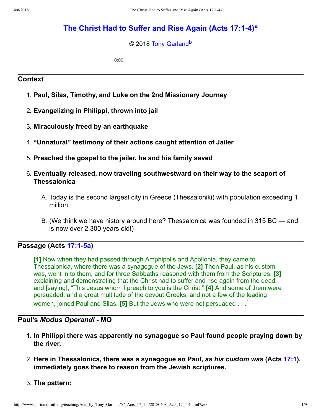# **[The Christ Had to Suffer and Rise Again \(Acts 17:14\)](http://www.spiritandtruth.org/teaching/Acts_by_Tony_Garland/57_Acts_17_1-4/index.htm)[a](#page-8-0)**

#### <span id="page-0-2"></span><span id="page-0-1"></span>© 2018 [Tony Garland](http://www.spiritandtruth.org/id/tg.htm)<sup>[b](#page-8-1)</sup>

0:00

# **Context**

- 1. **Paul, Silas, Timothy, and Luke on the 2nd Missionary Journey**
- 2. **Evangelizing in Philippi, thrown into jail**
- 3. **Miraculously freed by an earthquake**
- 4. **"Unnatural" testimony of their actions caught attention of Jailer**
- 5. **Preached the gospel to the jailer, he and his family saved**
- 6. **Eventually released, now traveling southwestward on their way to the seaport of Thessalonica**
	- A. Today is the second largest city in Greece (Thessaloniki) with population exceeding 1 million
	- B. (We think we have history around here? Thessalonica was founded in 315 BC and is now over 2,300 years old!)

## **Passage (Acts [17:15a\)](http://www.spiritandtruth.org/bibles/nasb/b44c017.htm#Acts_C17V1)**

<span id="page-0-0"></span>**[1]** Now when they had passed through Amphipolis and Apollonia, they came to Thessalonica, where there was a synagogue of the Jews. **[2]** Then Paul, as his custom was, went in to them, and for three Sabbaths reasoned with them from the Scriptures, **[3]** explaining and demonstrating that the Christ had to suffer and rise again from the dead, and [saying], "This Jesus whom I preach to you is the Christ." **[4]** And some of them were persuaded; and a great multitude of the devout Greeks, and not a few of the leading women, joined Paul and Silas. **[5]** But the Jews who were not persuaded . . .[1](#page-7-0)

### **Paul's** *Modus Operandi* **MO**

- 1. **In Philippi there was apparently no synagogue so Paul found people praying down by the river.**
- 2. **Here in Thessalonica, there was a synagogue so Paul,** *as his custom was* **(Acts [17:1](http://www.spiritandtruth.org/bibles/nasb/b44c017.htm#Acts_C17V1)), immediately goes there to reason from the Jewish scriptures.**
- 3. **The pattern:**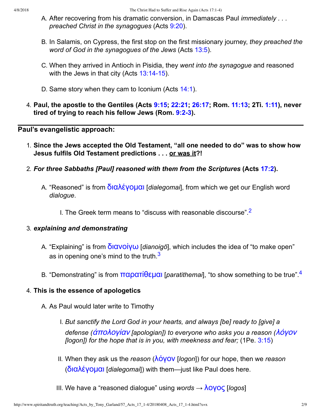- A. After recovering from his dramatic conversion, in Damascas Paul *immediately . . . preached Christ in the synagogues* (Acts [9:20](http://www.spiritandtruth.org/bibles/nasb/b44c009.htm#Acts_C9V20)).
- B. In Salamis, on Cypress, the first stop on the first missionary journey, *they preached the word of God in the synagogues of the Jews* (Acts [13:5](http://www.spiritandtruth.org/bibles/nasb/b44c013.htm#Acts_C13V5)).
- C. When they arrived in Antioch in Pisidia, they *went into the synagogue* and reasoned with the Jews in that city (Acts  $13:14-15$ ).
- D. Same story when they cam to Iconium (Acts [14:1\)](http://www.spiritandtruth.org/bibles/nasb/b44c014.htm#Acts_C14V1).
- 4. **Paul, the apostle to the Gentiles (Acts [9:15;](http://www.spiritandtruth.org/bibles/nasb/b44c009.htm#Acts_C9V15) [22:21;](http://www.spiritandtruth.org/bibles/nasb/b44c022.htm#Acts_C22V21) [26:17;](http://www.spiritandtruth.org/bibles/nasb/b44c026.htm#Acts_C26V17) Rom. [11:13](http://www.spiritandtruth.org/bibles/nasb/b45c011.htm#Rom._C11V13); 2Ti. [1:11](http://www.spiritandtruth.org/bibles/nasb/b55c001.htm#2Ti._C1V11)), never tired of trying to reach his fellow Jews (Rom. [9:23](http://www.spiritandtruth.org/bibles/nasb/b45c009.htm#Rom._C9V2)).**

**Paul's evangelistic approach:**

- 1. **Since the Jews accepted the Old Testament, "all one needed to do" was to show how Jesus fulfils Old Testament predictions . . . or was it?!**
- 2. *For three Sabbaths [Paul] reasoned with them from the Scriptures* **(Acts [17:2\)](http://www.spiritandtruth.org/bibles/nasb/b44c017.htm#Acts_C17V2).**
	- A. "Reasoned" is from **διαλέγομαι** [*dialegomai*], from which we get our English word *dialogue*.
		- I. The Greek term means to "discuss with reasonable discourse".<sup>[2](#page-7-1)</sup>

# 3. *explaining and demonstrating*

- <span id="page-1-1"></span><span id="page-1-0"></span>A. "Explaining" is from διανοίγω [dianoigō], which includes the idea of "to make open" as in opening one's mind to the truth.<sup>[3](#page-7-2)</sup>
- <span id="page-1-2"></span>B. "Demonstrating" is from **παρατίθεμαι** [*paratithemai*], "to show something to be true".<sup>[4](#page-7-3)</sup>

# 4. **This is the essence of apologetics**

- A. As Paul would later write to Timothy
	- I. *But sanctify the Lord God in your hearts, and always [be] ready to [give] a* defense ( $\overline{a}$ πολογίαν [apologian]) to everyone who asks you a reason (λόγον *[logon]) for the hope that is in you, with meekness and fear;* (1Pe. [3:15\)](http://www.spiritandtruth.org/bibles/nasb/b60c003.htm#1Pe._C3V15)
	- II. When they ask us the *reason* (λόγον [*logon*]) for our hope, then we *reason* (διαλέγομαι [dialegomai]) with them—just like Paul does here.
	- III. We have a "reasoned dialogue" using *words* → **λογος** [*logos*]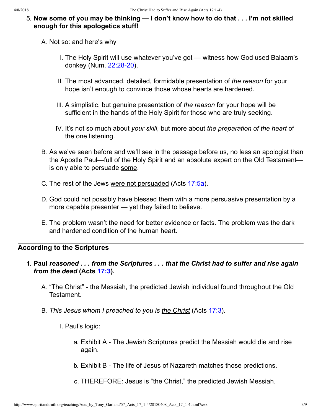- 5. **Now some of you may be thinking I don't know how to do that . . . I'm not skilled enough for this apologetics stuff!**
	- A. Not so: and here's why
		- I. The Holy Spirit will use whatever you've got witness how God used Balaam's donkey (Num. 22:28-20).
		- II. The most advanced, detailed, formidable presentation of *the reason* for your hope isn't enough to convince those whose hearts are hardened.
		- III. A simplistic, but genuine presentation of *the reason* for your hope will be sufficient in the hands of the Holy Spirit for those who are truly seeking.
		- IV. It's not so much about *your skill*, but more about *the preparation of the heart* of the one listening.
	- B. As we've seen before and we'll see in the passage before us, no less an apologist than the Apostle Paul—full of the Holy Spirit and an absolute expert on the Old Testament is only able to persuade some.
	- C. The rest of the Jews were not persuaded (Acts [17:5a\)](http://www.spiritandtruth.org/bibles/nasb/b44c017.htm#Acts_C17V5).
	- D. God could not possibly have blessed them with a more persuasive presentation by a more capable presenter — yet they failed to believe.
	- E. The problem wasn't the need for better evidence or facts. The problem was the dark and hardened condition of the human heart.

### **According to the Scriptures**

- 1. **Paul** *reasoned . . . from the Scriptures . . . that the Christ had to suffer and rise again from the dead* **(Acts [17:3](http://www.spiritandtruth.org/bibles/nasb/b44c017.htm#Acts_C17V3)).**
	- A. "The Christ" the Messiah, the predicted Jewish individual found throughout the Old Testament.
	- B. *This Jesus whom I preached to you is the Christ* (Acts [17:3\)](http://www.spiritandtruth.org/bibles/nasb/b44c017.htm#Acts_C17V3).
		- I. Paul's logic:
			- a. Exhibit A The Jewish Scriptures predict the Messiah would die and rise again.
			- b. Exhibit B The life of Jesus of Nazareth matches those predictions.
			- c. THEREFORE: Jesus is "the Christ," the predicted Jewish Messiah.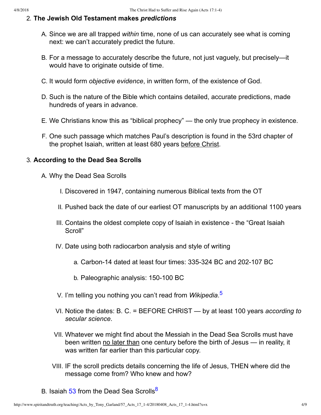### 2. **The Jewish Old Testament makes** *predictions*

- A. Since we are all trapped *within* time, none of us can accurately see what is coming next: we can't accurately predict the future.
- B. For a message to accurately describe the future, not just vaguely, but precisely—it would have to originate outside of time.
- C. It would form *objective evidence*, in written form, of the existence of God.
- D. Such is the nature of the Bible which contains detailed, accurate predictions, made hundreds of years in advance.
- E. We Christians know this as "biblical prophecy" the only true prophecy in existence.
- F. One such passage which matches Paul's description is found in the 53rd chapter of the prophet Isaiah, written at least 680 years before Christ.

### 3. **According to the Dead Sea Scrolls**

- A. Why the Dead Sea Scrolls
	- I. Discovered in 1947, containing numerous Biblical texts from the OT
	- II. Pushed back the date of our earliest OT manuscripts by an additional 1100 years
	- III. Contains the oldest complete copy of Isaiah in existence the "Great Isaiah Scroll"
	- IV. Date using both radiocarbon analysis and style of writing
		- a. Carbon-14 dated at least four times: 335-324 BC and 202-107 BC
		- b. Paleographic analysis: 150-100 BC
	- V. I'm telling you nothing you can't read from *Wikipedia*. [5](#page-7-4)
	- VI. Notice the dates: B. C. = BEFORE CHRIST by at least 100 years *according to secular science*.
	- VII. Whatever we might find about the Messiah in the Dead Sea Scrolls must have been written no later than one century before the birth of Jesus - in reality, it was written far earlier than this particular copy.
	- VIII. IF the scroll predicts details concerning the life of Jesus, THEN where did the message come from? Who knew and how?
- <span id="page-3-1"></span><span id="page-3-0"></span>B. Isaiah [53](http://www.spiritandtruth.org/bibles/nasb/b23c053.htm#Isa._C53V1) from the Dead Sea Scrolls<sup>[8](#page-7-5)</sup>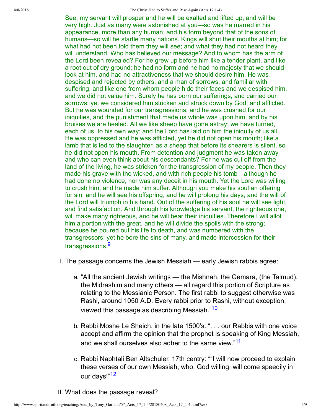See, my servant will prosper and he will be exalted and lifted up, and will be very high. Just as many were astonished at you—so was he marred in his appearance, more than any human, and his form beyond that of the sons of humans—so will he startle many nations. Kings will shut their mouths at him; for what had not been told them they will see; and what they had not heard they will understand. Who has believed our message? And to whom has the arm of the Lord been revealed? For he grew up before him like a tender plant, and like a root out of dry ground; he had no form and he had no majesty that we should look at him, and had no attractiveness that we should desire him. He was despised and rejected by others, and a man of sorrows, and familiar with suffering; and like one from whom people hide their faces and we despised him, and we did not value him. Surely he has born our sufferings, and carried our sorrows; yet we considered him stricken and struck down by God, and afflicted. But he was wounded for our transgressions, and he was crushed for our iniquities, and the punishment that made us whole was upon him, and by his bruises we are healed. All we like sheep have gone astray; we have turned, each of us, to his own way; and the Lord has laid on him the iniquity of us all. He was oppressed and he was afflicted, yet he did not open his mouth; like a lamb that is led to the slaughter, as a sheep that before its shearers is silent, so he did not open his mouth. From detention and judgment he was taken away and who can even think about his descendants? For he was cut off from the land of the living, he was stricken for the transgression of my people. Then they made his grave with the wicked, and with rich people his tomb—although he had done no violence, nor was any deceit in his mouth. Yet the Lord was willing to crush him, and he made him suffer. Although you make his soul an offering for sin, and he will see his offspring, and he will prolong his days, and the will of the Lord will triumph in his hand. Out of the suffering of his soul he will see light, and find satisfaction. And through his knowledge his servant, the righteous one, will make many righteous, and he will bear their iniquities. Therefore I will allot him a portion with the great, and he will divide the spoils with the strong; because he poured out his life to death, and was numbered with the transgressors; yet he bore the sins of many, and made intercession for their transgressions<sup>[9](#page-8-2)</sup>

- <span id="page-4-3"></span><span id="page-4-2"></span><span id="page-4-1"></span><span id="page-4-0"></span>I. The passage concerns the Jewish Messiah — early Jewish rabbis agree:
	- a. "All the ancient Jewish writings the Mishnah, the Gemara, (the Talmud), the Midrashim and many others — all regard this portion of Scripture as relating to the Messianic Person. The first rabbi to suggest otherwise was Rashi, around 1050 A.D. Every rabbi prior to Rashi, without exception, viewed this passage as describing Messiah."[10](#page-8-3)
	- b. Rabbi Moshe Le Sheich, in the late 1500's: ". . . our Rabbis with one voice accept and affirm the opinion that the prophet is speaking of King Messiah, and we shall ourselves also adher to the same view."<sup>[11](#page-8-4)</sup>
	- c. Rabbi Naphtali Ben Altschuler, 17th centry: ""I will now proceed to explain these verses of our own Messiah, who, God willing, will come speedily in our days!"<sup>[12](#page-8-5)</sup>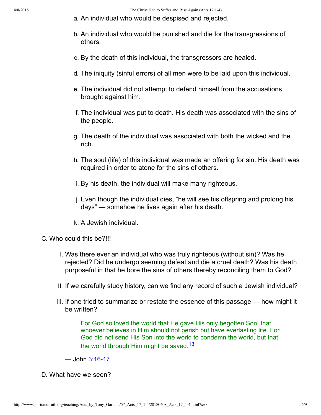- a. An individual who would be despised and rejected.
- b. An individual who would be punished and die for the transgressions of others.
- c. By the death of this individual, the transgressors are healed.
- d. The iniquity (sinful errors) of all men were to be laid upon this individual.
- e. The individual did not attempt to defend himself from the accusations brought against him.
- f. The individual was put to death. His death was associated with the sins of the people.
- g. The death of the individual was associated with both the wicked and the rich.
- h. The soul (life) of this individual was made an offering for sin. His death was required in order to atone for the sins of others.
- i. By his death, the individual will make many righteous.
- j. Even though the individual dies, "he will see his offspring and prolong his days" — somehow he lives again after his death.
- k. A Jewish individual.
- C. Who could this be?!!!
	- I. Was there ever an individual who was truly righteous (without sin)? Was he rejected? Did he undergo seeming defeat and die a cruel death? Was his death purposeful in that he bore the sins of others thereby reconciling them to God?
	- II. If we carefully study history, can we find any record of such a Jewish individual?
	- III. If one tried to summarize or restate the essence of this passage how might it be written?

<span id="page-5-0"></span>For God so loved the world that He gave His only begotten Son, that whoever believes in Him should not perish but have everlasting life. For God did not send His Son into the world to condemn the world, but that the world through Him might be saved.<sup>[13](#page-8-6)</sup>

 $-$  John 3:16-17

D. What have we seen?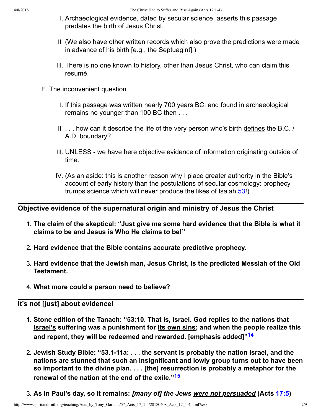- I. Archaeological evidence, dated by secular science, asserts this passage predates the birth of Jesus Christ.
- II. (We also have other written records which also prove the predictions were made in advance of his birth [e.g., the Septuagint].)
- III. There is no one known to history, other than Jesus Christ, who can claim this resumé.
- E. The inconvenient question
	- I. If this passage was written nearly 700 years BC, and found in archaeological remains no younger than 100 BC then . . .
	- II. . . . how can it describe the life of the very person who's birth defines the B.C. / A.D. boundary?
	- III. UNLESS we have here objective evidence of information originating outside of time.
	- IV. (As an aside: this is another reason why I place greater authority in the Bible's account of early history than the postulations of secular cosmology: prophecy trumps science which will never produce the likes of Isaiah [53](http://www.spiritandtruth.org/bibles/nasb/b23c053.htm#Isa._C53V1)!)

# **Objective evidence of the supernatural origin and ministry of Jesus the Christ**

- 1. **The claim of the skeptical: "Just give me some hard evidence that the Bible is what it claims to be and Jesus is Who He claims to be!"**
- 2. **Hard evidence that the Bible contains accurate predictive prophecy.**
- 3. **Hard evidence that the Jewish man, Jesus Christ, is the predicted Messiah of the Old Testament.**
- 4. **What more could a person need to believe?**

# **It's not [just] about evidence!**

- <span id="page-6-0"></span>1. **Stone edition of the Tanach: "53:10. That is, Israel. God replies to the nations that <u>Israel's</u> suffering was a punishment for its own sins; and when the people realize this and repent, they will be redeemed and rewarded. [emphasis added]"[14](#page-8-7)**
- 2. **Jewish Study Bible: "53.111a: . . . the servant is probably the nation Israel, and the nations are stunned that such an insignificant and lowly group turns out to have been so important to the divine plan. . . . [the] resurrection is probably a metaphor for the renewal of the nation at the end of the exile."[15](#page-8-8)**
- <span id="page-6-1"></span>3. **As in Paul's day, so it remains:** *[many of] the Jews were not persuaded* **(Acts [17:5](http://www.spiritandtruth.org/bibles/nasb/b44c017.htm#Acts_C17V5))**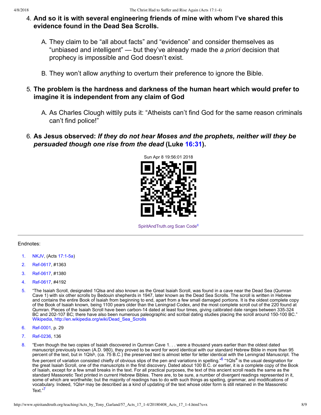- 4. **And so it is with several engineering friends of mine with whom I've shared this evidence found in the Dead Sea Scrolls.**
	- A. They claim to be "all about facts" and "evidence" and consider themselves as "unbiased and intelligent" — but they've already made the *a priori* decision that prophecy is impossible and God doesn't exist.
	- B. They won't allow *anything* to overturn their preference to ignore the Bible.
- 5. **The problem is the hardness and darkness of the human heart which would prefer to imagine it is independent from any claim of God**
	- A. As Charles Clough wittily puts it: "Atheists can't find God for the same reason criminals can't find police!"
- 6. **As Jesus observed:** *If they do not hear Moses and the prophets, neither will they be persuaded though one rise from the dead* **(Luke [16:31](http://www.spiritandtruth.org/bibles/nasb/b42c016.htm#Luke_C16V31)).**



<span id="page-7-10"></span><span id="page-7-6"></span>[SpiritAndTruth.org Scan Code](http://www.spiritandtruth.org/)<sup>[c](#page-8-9)</sup>

#### Endnotes:

- <span id="page-7-0"></span>[1.](#page-0-0) [NKJV,](#page-8-10) (Acts 17:1-5a)
- <span id="page-7-1"></span>[2.](#page-1-0) Ref-0617, #1363
- <span id="page-7-2"></span>[3.](#page-1-1) Ref-0617, #1380
- <span id="page-7-3"></span>[4.](#page-1-2) Ref-0617, #4192
- <span id="page-7-4"></span>[5.](#page-3-0) "The Isaiah Scroll, designated 1Qlsa and also known as the Great Isaiah Scroll, was found in a cave near the Dead Sea (Qumran Cave 1) with six other scrolls by Bedouin shepherds in 1947, later known as the Dead Sea Scrolls. The scroll is written in Hebrew and contains the entire Book of Isaiah from beginning to end, apart from a few small damaged portions. It is the oldest complete copy of the Book of Isaiah known, being 1100 years older than the Leningrad Codex, and the most complete scroll out of the 220 found at Qumran. Pieces of the Isaiah Scroll have been carbon-14 dated at least four times, giving calibrated date ranges between 335-324 BC and 202-107 BC; there have also been numerous paleographic and scribal dating studies placing the scroll around 150-100 BC." Wikipedia, [http://en.wikipedia.org/wiki/Dead\\_Sea\\_Scrolls](http://en.wikipedia.org/wiki/Dead_Sea_Scrolls)
- <span id="page-7-8"></span>[6.](#page-7-6) Ref-0001, p. 29
- <span id="page-7-9"></span>[7.](#page-7-7) Ref-0236, 136
- <span id="page-7-7"></span><span id="page-7-5"></span>[8.](#page-3-1) "Even though the two copies of Isaiah discovered in Qumran Cave 1. . . were a thousand years earlier than the oldest dated manuscript previously known (A.D. 980), they proved to be word for word identical with our standard Hebrew Bible in more than 95 percent of the text, but in 1QIsb, (ca. 75 B.C.) the preserved text is almost letter for letter identical with the Leningrad Manuscript. The five percent of variation consisted chiefly of obvious slips of the pen and variations in spelling."<sup>[6](#page-7-8)</sup> "1QIs<sup>a</sup> is the usual designation for the great Isaiah Scroll, one of the manuscripts in the first discovery. Dated about 100 B.C. or earlier, it is a complete copy of the Book of Isaiah, except for a few small breaks in the text. For all practical purposes, the text of this ancient scroll reads the same as the standard Massoretic Text printed in current Hebrew Bibles. There are, to be sure, a number of divergent readings represented in it, some of which are worthwhile; but the majority of readings has to do with such things as spelling, grammar, and modifications of vocabulary. Indeed, 1QIsa may be described as a kind of updating of the text whose older form is still retained in the Massoretic Text."<sup>[7](#page-7-9)</sup>